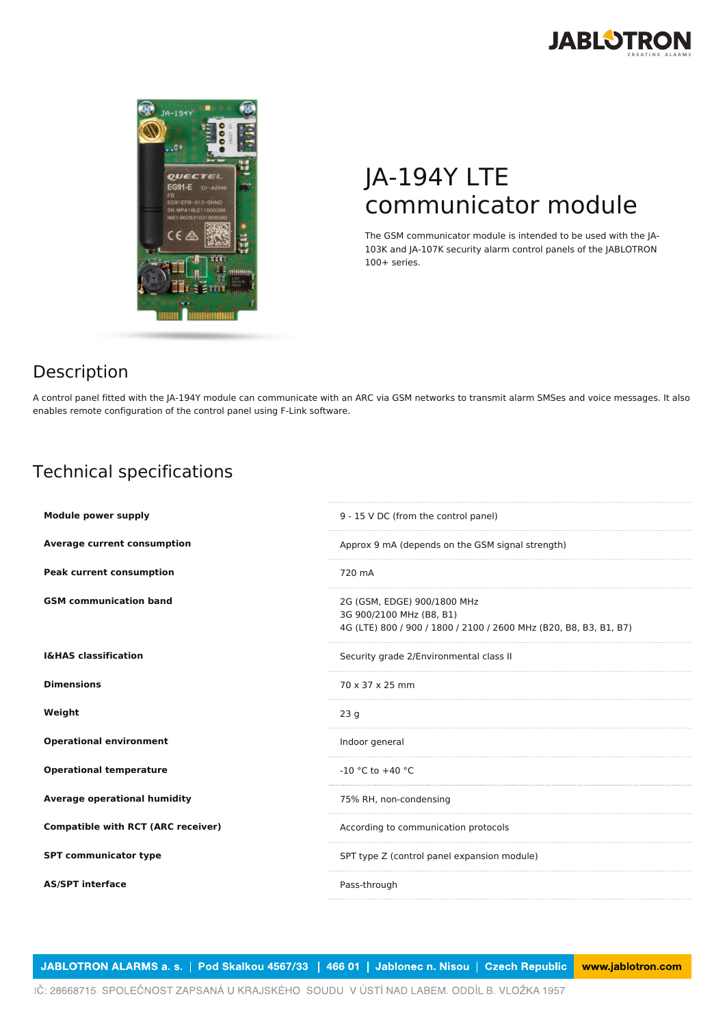



## JA-194Y LTE communicator module

The GSM communicator module is intended to be used with the JA-103K and JA-107K security alarm control panels of the JABLOTRON 100+ series.

## Description

A control panel fitted with the JA-194Y module can communicate with an ARC via GSM networks to transmit alarm SMSes and voice messages. It also enables remote configuration of the control panel using F-Link software.

## Technical specifications

| <b>Module power supply</b>                | 9 - 15 V DC (from the control panel)                                                                                         |
|-------------------------------------------|------------------------------------------------------------------------------------------------------------------------------|
| <b>Average current consumption</b>        | Approx 9 mA (depends on the GSM signal strength)                                                                             |
| <b>Peak current consumption</b>           | 720 mA                                                                                                                       |
| <b>GSM</b> communication band             | 2G (GSM, EDGE) 900/1800 MHz<br>3G 900/2100 MHz (B8, B1)<br>4G (LTE) 800 / 900 / 1800 / 2100 / 2600 MHz (B20, B8, B3, B1, B7) |
| <b>I&amp;HAS classification</b>           | Security grade 2/Environmental class II                                                                                      |
| <b>Dimensions</b>                         | 70 x 37 x 25 mm                                                                                                              |
| Weight                                    | 23q                                                                                                                          |
| <b>Operational environment</b>            | Indoor general                                                                                                               |
| <b>Operational temperature</b>            | $-10$ °C to $+40$ °C                                                                                                         |
| <b>Average operational humidity</b>       | 75% RH, non-condensing                                                                                                       |
| <b>Compatible with RCT (ARC receiver)</b> | According to communication protocols                                                                                         |
| <b>SPT communicator type</b>              | SPT type Z (control panel expansion module)                                                                                  |
| <b>AS/SPT interface</b>                   | Pass-through                                                                                                                 |
|                                           |                                                                                                                              |

JABLOTRON ALARMS a. s. | Pod Skalkou 4567/33 | 466 01 | Jablonec n. Nisou | Czech Republic www.jablotron.com